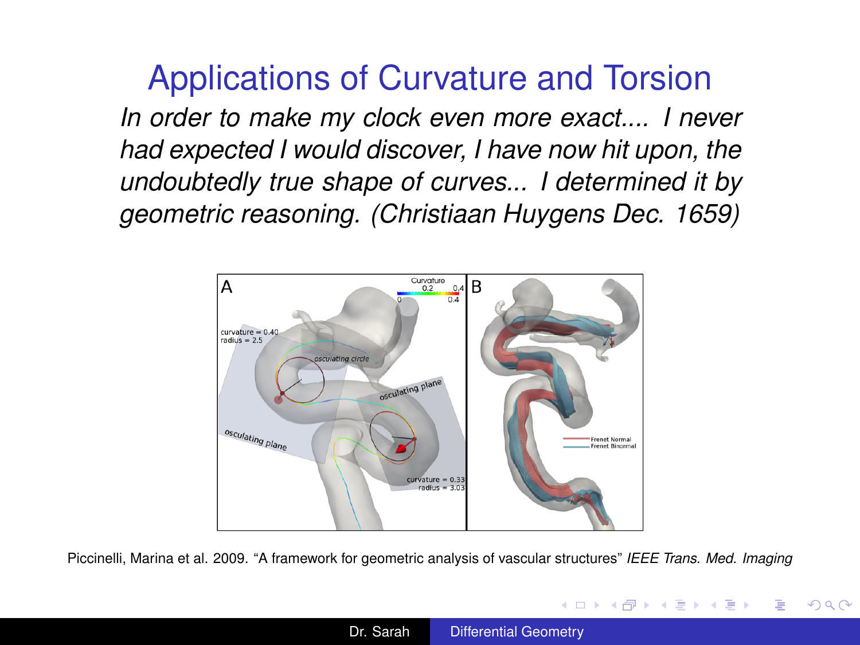<span id="page-0-0"></span>Applications of Curvature and Torsion *In order to make my clock even more exact.... I never had expected I would discover, I have now hit upon, the undoubtedly true shape of curves... I determined it by geometric reasoning. (Christiaan Huygens Dec. 1659)*



Piccinelli, Marina et al. 2009. "A framework for geometric analysis of vascular structures" *IEEE Trans. Med. Imaging*

K ロ ▶ K 御 ▶ K 君 ▶ K 君 ▶ ○ 君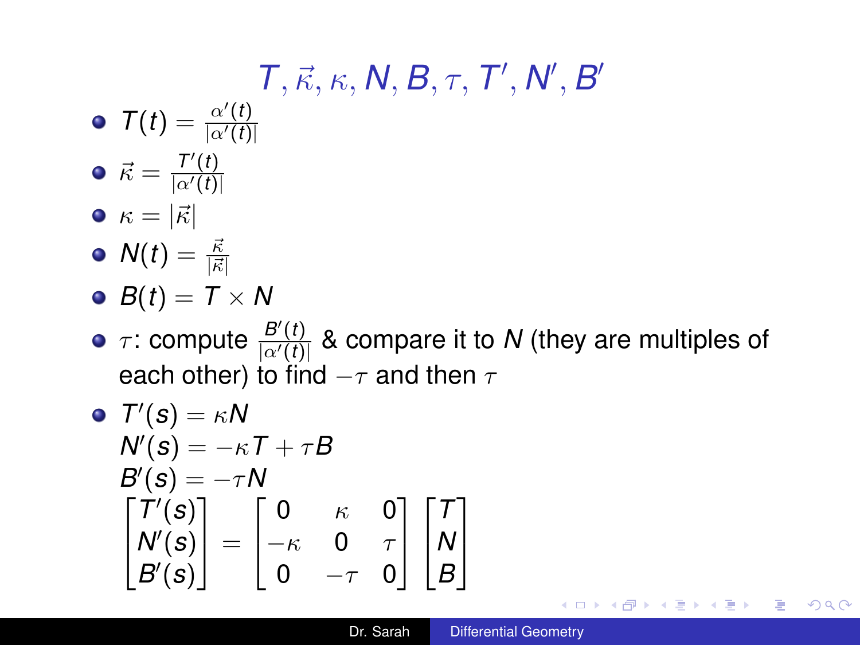## $T, \vec{\kappa}, \kappa, \mathcal{N}, \mathcal{B}, \tau, \mathcal{T}^\prime, \mathcal{N}^\prime, \mathcal{B}^\prime$

- $T(t) = \frac{\alpha'(t)}{|\alpha'(t)|}$  $|\alpha'(t)|$
- $\vec{\kappa} = \frac{T'(t)}{|\alpha'(t)|}$  $|\alpha'(t)|$  $\bullet \kappa = |\vec{\kappa}|$
- $N(t)=\frac{\vec{\kappa}}{|\vec{\kappa}|}$
- $\bullet$  *B*(*t*) = *T* × *N*
- $\tau$ : compute  $\frac{B'(t)}{Q'(t)}$  $\frac{B(t)}{|a'(t)|}$  & compare it to *N* (they are multiples of each other) to find  $-\tau$  and then  $\tau$

$$
\begin{array}{ll}\n\bullet & T'(s) = \kappa N \\
N'(s) = -\kappa T + \tau B \\
B'(s) = -\tau N \\
\begin{bmatrix} T'(s) \\ N'(s) \\ B'(s) \end{bmatrix} = \begin{bmatrix} 0 & \kappa & 0 \\
-\kappa & 0 & \tau \\
0 & -\tau & 0 \end{bmatrix} \begin{bmatrix} T \\ N \\ B' \end{bmatrix}\n\end{array}
$$

K 何 ▶ K ヨ ▶ K ヨ ▶

B

 $QQQ$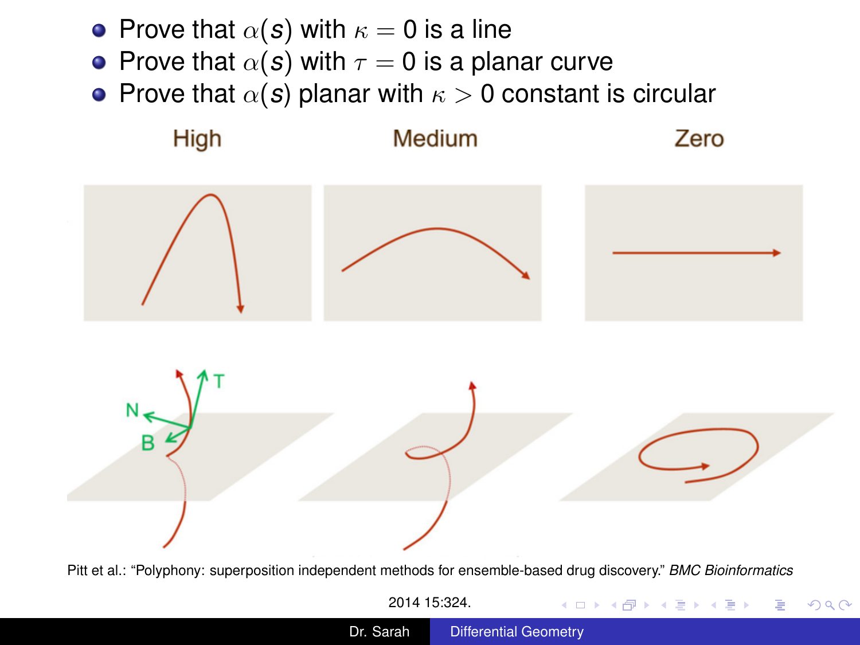- <span id="page-2-0"></span>• Prove that  $\alpha(s)$  with  $\kappa = 0$  is a line
- **•** Prove that  $\alpha(s)$  with  $\tau = 0$  is a planar curve
- Prove that  $\alpha(s)$  planar with  $\kappa > 0$  constant is circular



## Medium

Zero

**K ロ ▶ K 何 ▶ K ヨ ▶ K ヨ ▶** 

 $\equiv$ 

 $2990$ 



Pitt et al.: "Polyphony: superposition independent methods for ensemble-based drug discovery." *BMC Bioinformatics* 2014 15:324.

Dr. Sarah [Differential Geometry](#page-0-0)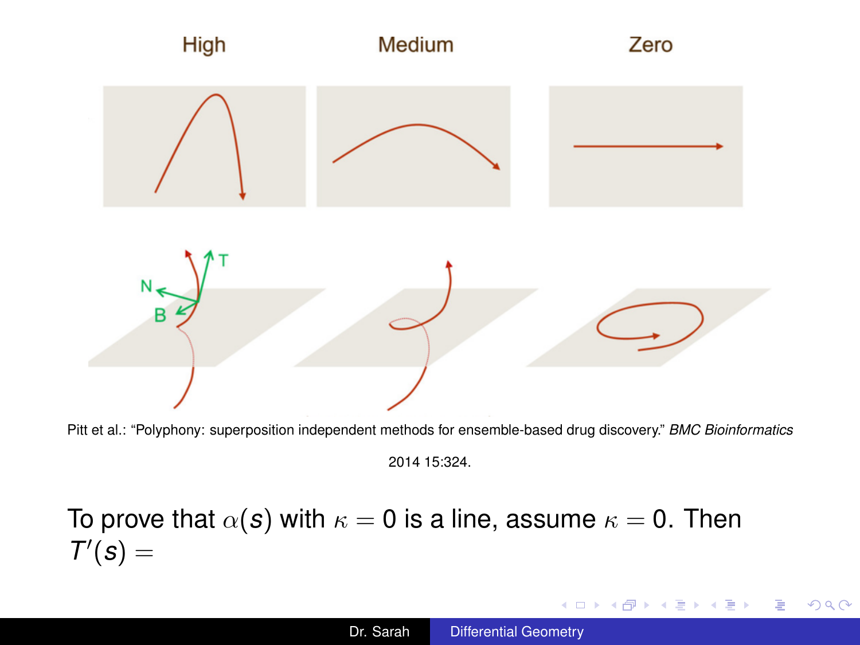<span id="page-3-0"></span>

Pitt et al.: "Polyphony: superposition independent methods for ensemble-based drug discovery." *BMC Bioinformatics*

## To prove that  $\alpha(s)$  with  $\kappa = 0$  is a line, assume  $\kappa = 0$ . Then  $T'(s) =$

イロト イ押 トイヨ トイヨ トー

重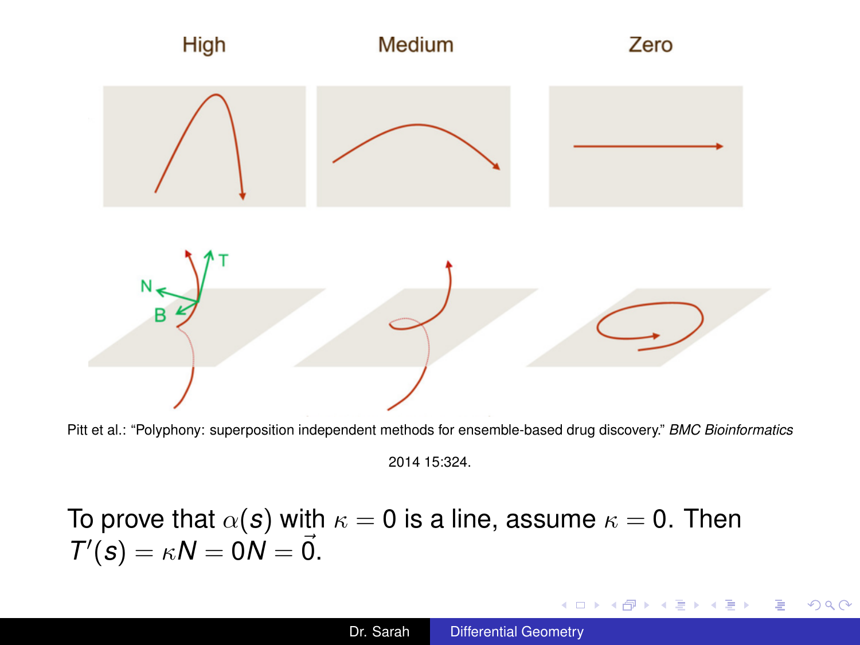

Pitt et al.: "Polyphony: superposition independent methods for ensemble-based drug discovery." *BMC Bioinformatics*

To prove that  $\alpha(s)$  with  $\kappa = 0$  is a line, assume  $\kappa = 0$ . Then  $T'(s) = \kappa N = 0 \dot{N} = \vec{0}.$ 

イロト イ押 トイヨ トイヨ トー

÷.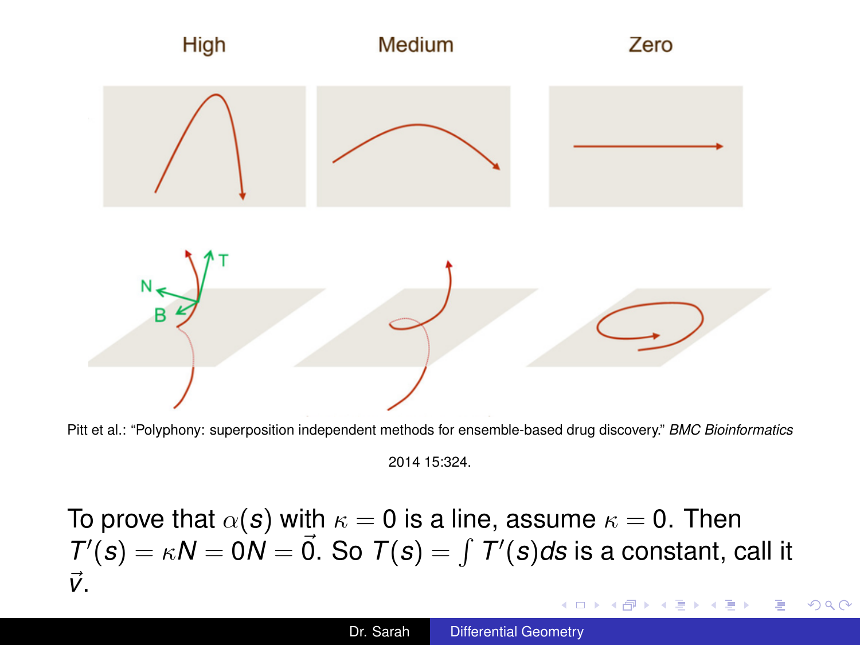<span id="page-5-0"></span>

Pitt et al.: "Polyphony: superposition independent methods for ensemble-based drug discovery." *BMC Bioinformatics*

To prove that  $\alpha(s)$  with  $\kappa = 0$  is a line, assume  $\kappa = 0$ . Then  $T'(s) = \kappa N = 0$  $\dot{N} = \vec{0}$ . So  $T(s) = \int T'(s)ds$  is a constant, call it ~*v*. 4 ロ ) (何 ) (日 ) (日 )  $\equiv$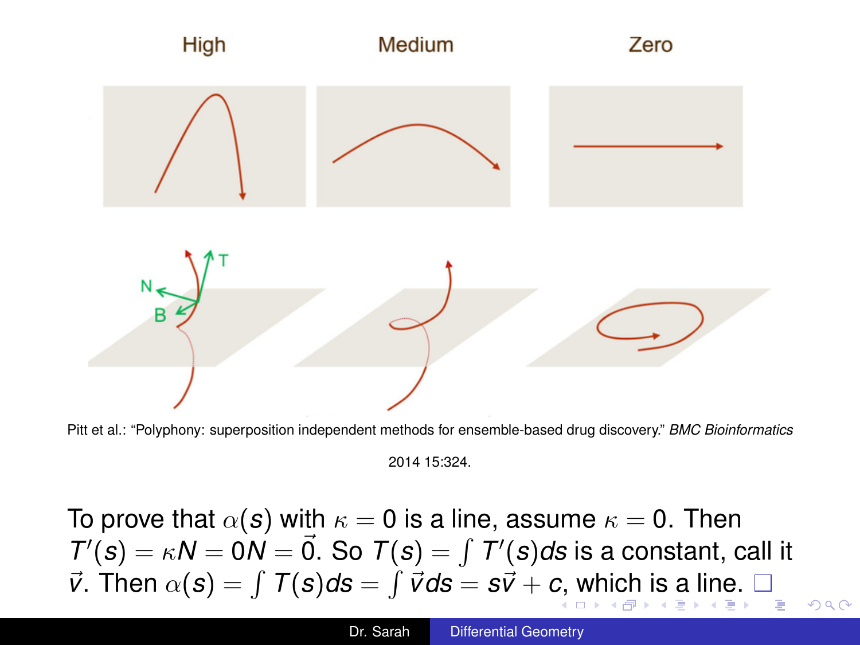<span id="page-6-0"></span>

Pitt et al.: "Polyphony: superposition independent methods for ensemble-based drug discovery." *BMC Bioinformatics*

To prove that  $\alpha(s)$  with  $\kappa = 0$  is a line, assume  $\kappa = 0$ . Then  $T'(s) = \kappa N = 0$  $\dot{N} = \vec{0}$ . So  $T(s) = \int T'(s)ds$  is a constant, call it  $\vec{v}$  $\vec{v}$  $\vec{v}$ . T[h](#page-6-0)en  $\alpha(s) = \int T(s)ds = \int \vec{v}ds = s\vec{v} + c$  $\alpha(s) = \int T(s)ds = \int \vec{v}ds = s\vec{v} + c$  $\alpha(s) = \int T(s)ds = \int \vec{v}ds = s\vec{v} + c$  $\alpha(s) = \int T(s)ds = \int \vec{v}ds = s\vec{v} + c$  $\alpha(s) = \int T(s)ds = \int \vec{v}ds = s\vec{v} + c$  $\alpha(s) = \int T(s)ds = \int \vec{v}ds = s\vec{v} + c$  $\alpha(s) = \int T(s)ds = \int \vec{v}ds = s\vec{v} + c$ [,](#page-5-0) [wh](#page-7-0)ich [i](#page-7-0)s [a l](#page-22-0)in[e.](#page-22-0)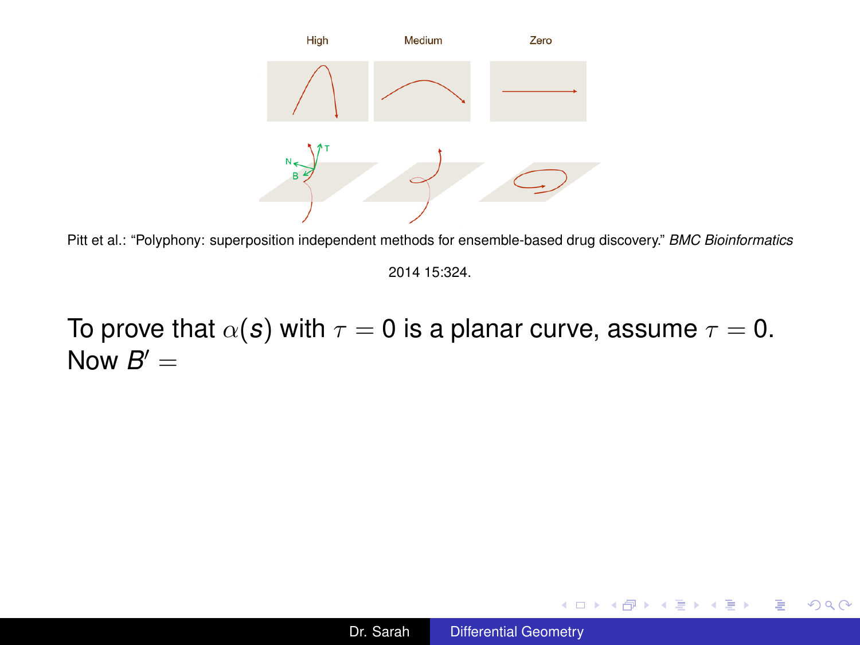<span id="page-7-0"></span>

Pitt et al.: "Polyphony: superposition independent methods for ensemble-based drug discovery." *BMC Bioinformatics*

To prove that  $\alpha(s)$  with  $\tau = 0$  is a planar curve, assume  $\tau = 0$ . Now  $B' =$ 

イロト イ押 トイヨ トイヨ トー

重し  $299$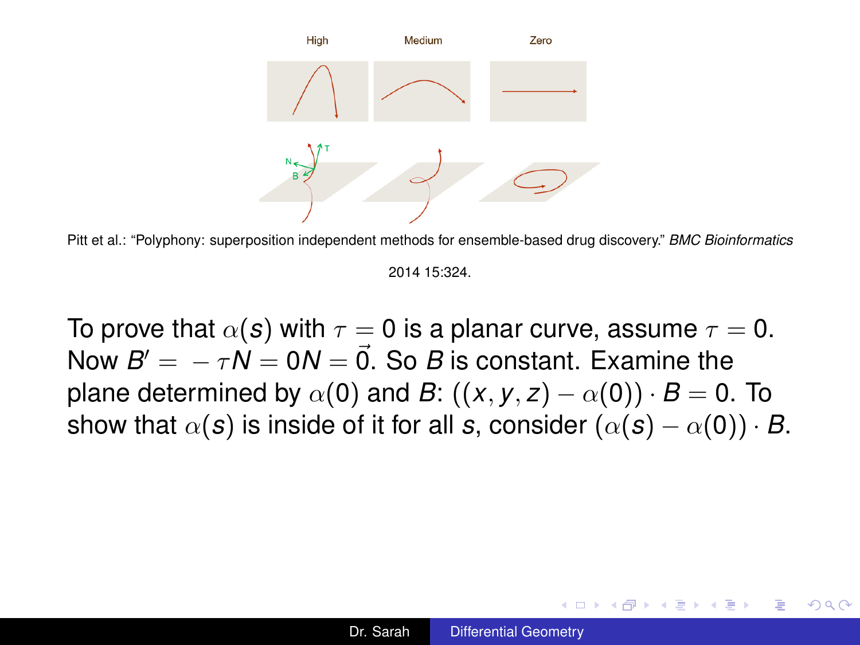

Pitt et al.: "Polyphony: superposition independent methods for ensemble-based drug discovery." *BMC Bioinformatics*

To prove that  $\alpha(s)$  with  $\tau = 0$  is a planar curve, assume  $\tau = 0$ . Now  $B' = -\tau N = 0N = \vec{0}$ . So *B* is constant. Examine the plane determined by  $\alpha(0)$  and *B*:  $((x, y, z) - \alpha(0)) \cdot B = 0$ . To show that  $\alpha(s)$  is inside of it for all *s*, consider  $(\alpha(s) - \alpha(0)) \cdot B$ .

4 ロ ) (何 ) (日 ) (日 )

ă.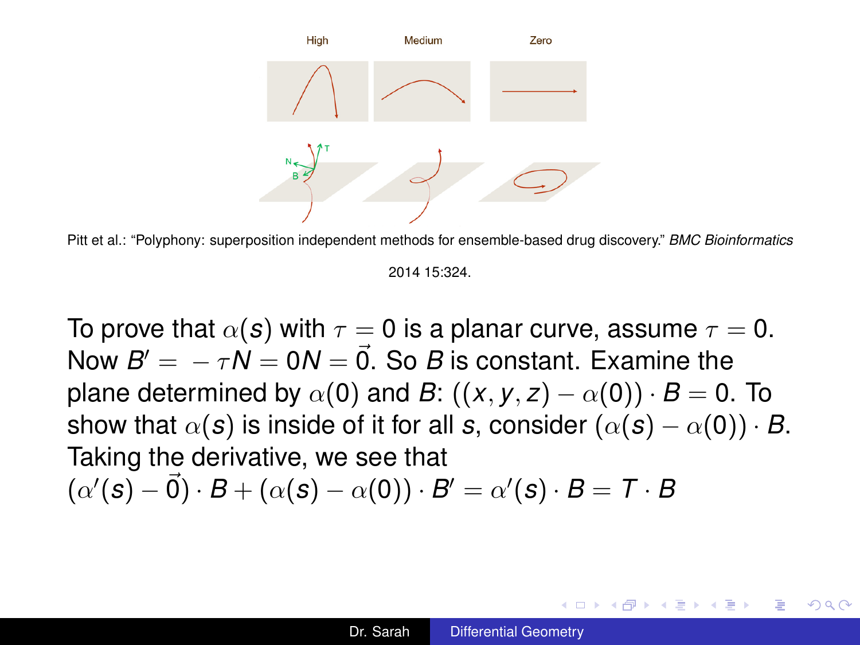

Pitt et al.: "Polyphony: superposition independent methods for ensemble-based drug discovery." *BMC Bioinformatics*

To prove that  $\alpha(s)$  with  $\tau = 0$  is a planar curve, assume  $\tau = 0$ . Now  $B' = -\tau N = 0N = \vec{0}$ . So *B* is constant. Examine the plane determined by  $\alpha(0)$  and *B*:  $((x, y, z) - \alpha(0)) \cdot B = 0$ . To show that  $\alpha(s)$  is inside of it for all *s*, consider  $(\alpha(s) - \alpha(0)) \cdot B$ . Taking the derivative, we see that  $(\alpha'(\mathbf{s}) - \vec{0}) \cdot B + (\alpha(\mathbf{s}) - \alpha(0)) \cdot B' = \alpha'(\mathbf{s}) \cdot B = \mathcal{T} \cdot B$ 

イロト イ押 トイヨ トイヨト

B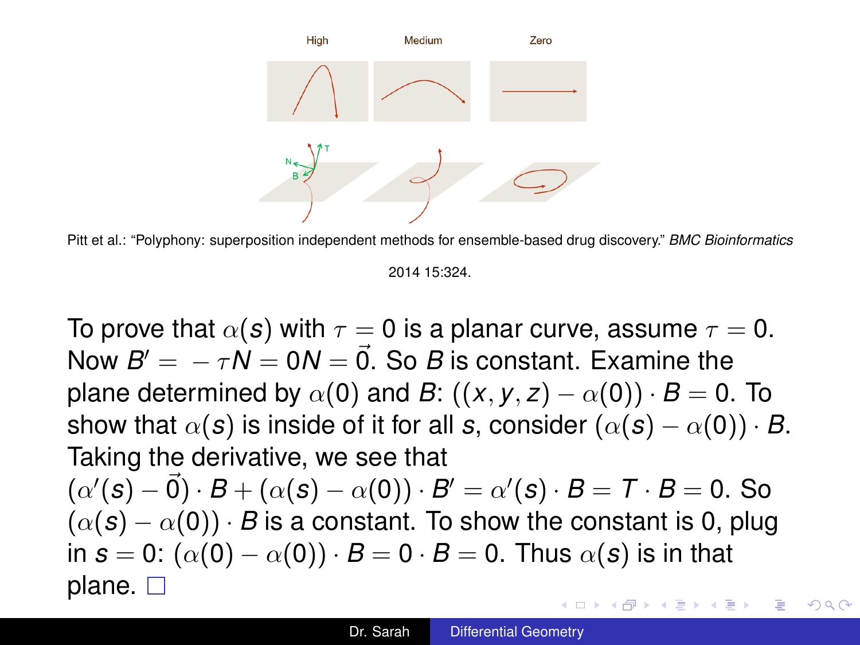<span id="page-10-0"></span>

Pitt et al.: "Polyphony: superposition independent methods for ensemble-based drug discovery." *BMC Bioinformatics*

To prove that  $\alpha(s)$  with  $\tau = 0$  is a planar curve, assume  $\tau = 0$ . Now  $B' = -\tau N = 0N = \vec{0}$ . So *B* is constant. Examine the plane determined by  $\alpha(0)$  and *B*:  $((x, y, z) - \alpha(0)) \cdot B = 0$ . To show that  $\alpha(s)$  is inside of it for all *s*, consider  $(\alpha(s) - \alpha(0)) \cdot B$ . Taking the derivative, we see that  $(\alpha'(\mathbf{s}) - \vec{0}) \cdot B + (\alpha(\mathbf{s}) - \alpha(0)) \cdot B' = \alpha'(\mathbf{s}) \cdot B = \mathcal{T} \cdot B = 0$ . So  $(\alpha(s) - \alpha(0)) \cdot B$  is a constant. To show the constant is 0, plug in  $s = 0$ :  $(\alpha(0) - \alpha(0)) \cdot B = 0 \cdot B = 0$ . Thus  $\alpha(s)$  is in that plane.  $\square$ イロト イ押 トイヨ トイヨ トー B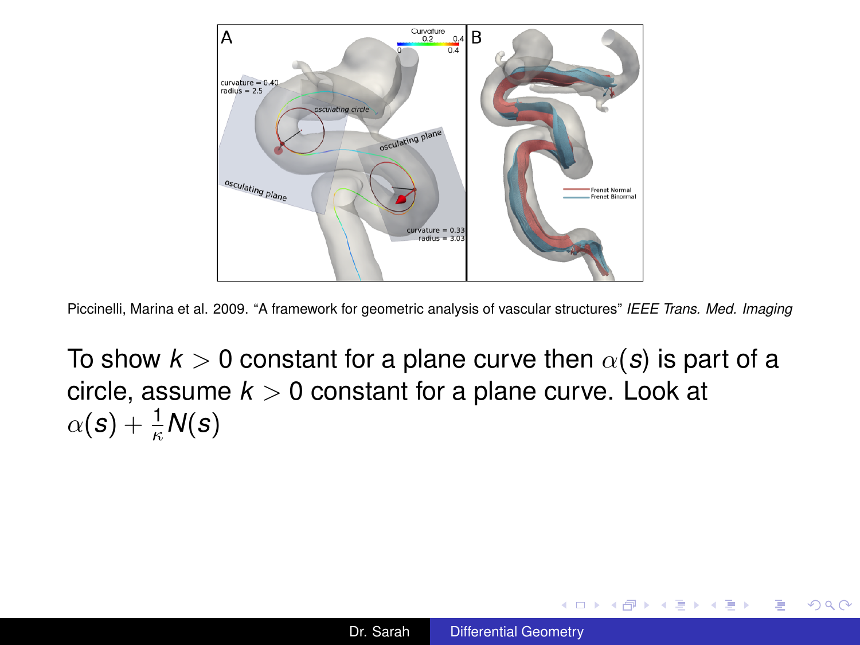<span id="page-11-0"></span>

Piccinelli, Marina et al. 2009. "A framework for geometric analysis of vascular structures" *IEEE Trans. Med. Imaging*

To show  $k > 0$  constant for a plane curve then  $\alpha(s)$  is part of a circle, assume *k* > 0 constant for a plane curve. Look at  $\alpha(\boldsymbol{s}) + \frac{1}{\kappa}\mathsf{N}(\boldsymbol{s})$ 

**K ロ ▶ K 何 ▶ K ヨ ▶ K ヨ ▶** 

÷.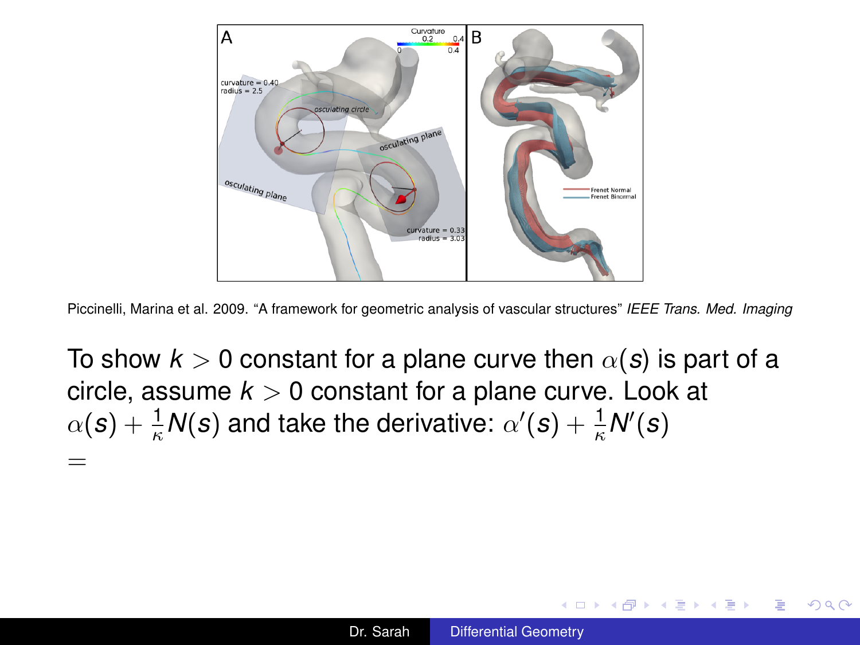

Piccinelli, Marina et al. 2009. "A framework for geometric analysis of vascular structures" *IEEE Trans. Med. Imaging*

To show  $k > 0$  constant for a plane curve then  $\alpha(s)$  is part of a circle, assume  $k > 0$  constant for a plane curve. Look at  $\alpha(\textbf{\textit{s}})+\frac{1}{\kappa}\textsf{N}(\textbf{\textit{s}})$  and take the derivative:  $\alpha'(\textbf{\textit{s}})+\frac{1}{\kappa}\textsf{N}'(\textbf{\textit{s}})$ =

イロト イ押 トイヨ トイヨ トー

÷.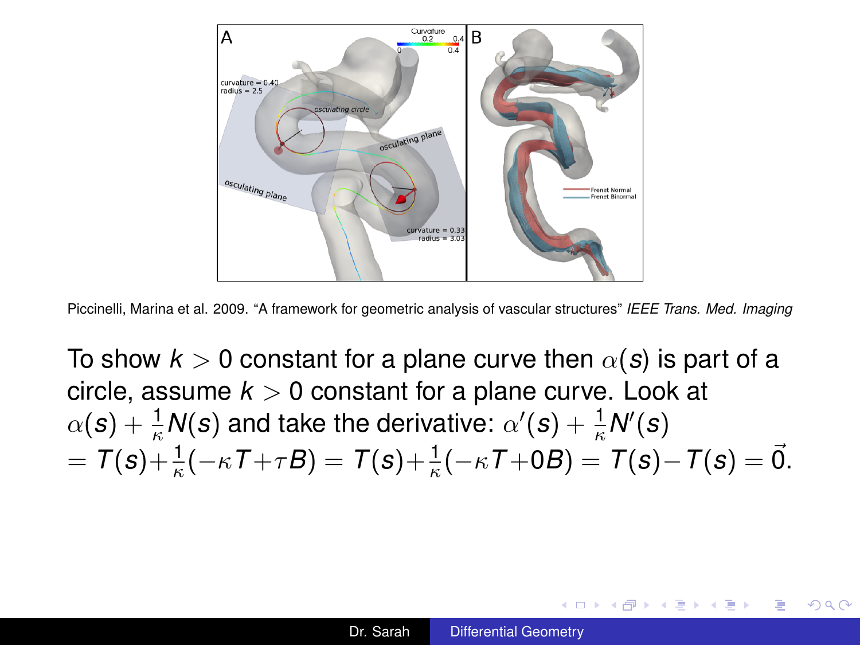

Piccinelli, Marina et al. 2009. "A framework for geometric analysis of vascular structures" *IEEE Trans. Med. Imaging*

To show  $k > 0$  constant for a plane curve then  $\alpha(s)$  is part of a circle, assume  $k > 0$  constant for a plane curve. Look at  $\alpha(\textbf{s}) + \frac{1}{\kappa}\textsf{N}(\textbf{s})$  and take the derivative:  $\alpha'(\textbf{s}) + \frac{1}{\kappa}\textsf{N}'(\textbf{s})$  $\overline{\sigma} = \mathcal{T}(s) + \frac{1}{\kappa}(-\kappa\mathcal{T} + \tau B) = \mathcal{T}(s) + \frac{1}{\kappa}(-\kappa\mathcal{T} + 0B) = \mathcal{T}(s) - \mathcal{T}(s) = \vec{0}.$ 

メロトメ 御 メメ 君 メメ 君 メー 君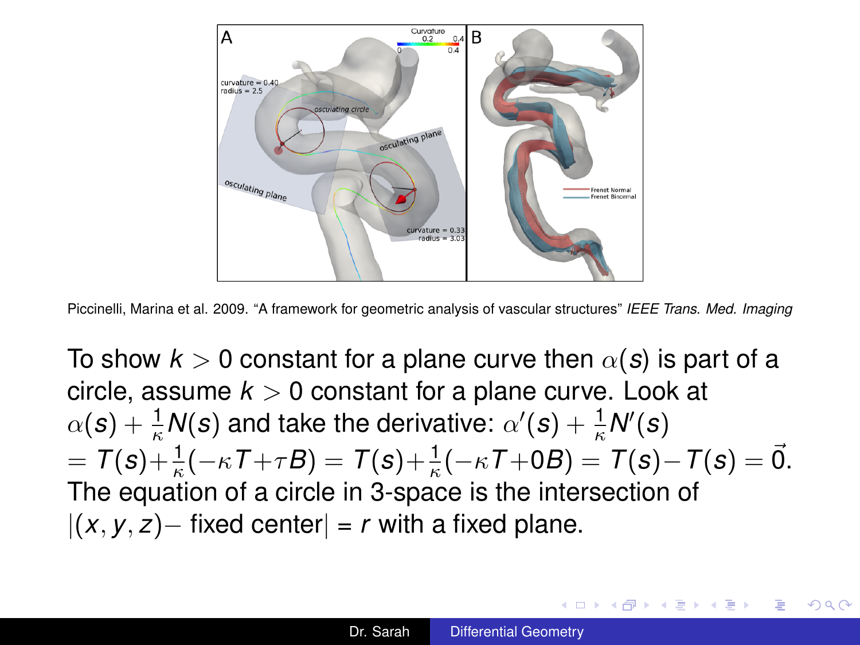

Piccinelli, Marina et al. 2009. "A framework for geometric analysis of vascular structures" *IEEE Trans. Med. Imaging*

To show  $k > 0$  constant for a plane curve then  $\alpha(s)$  is part of a circle, assume  $k > 0$  constant for a plane curve. Look at  $\alpha(\textbf{s}) + \frac{1}{\kappa}\textsf{N}(\textbf{s})$  and take the derivative:  $\alpha'(\textbf{s}) + \frac{1}{\kappa}\textsf{N}'(\textbf{s})$  $\overline{\sigma} = \mathcal{T}(s) + \frac{1}{\kappa}(-\kappa\mathcal{T} + \tau B) = \mathcal{T}(s) + \frac{1}{\kappa}(-\kappa\mathcal{T} + 0B) = \mathcal{T}(s) - \mathcal{T}(s) = \vec{0}.$ The equation of a circle in 3-space is the intersection of  $|(x, y, z) -$  fixed center $| = r$  with a fixed plane.

イロン イ押ン イヨン イヨン 一重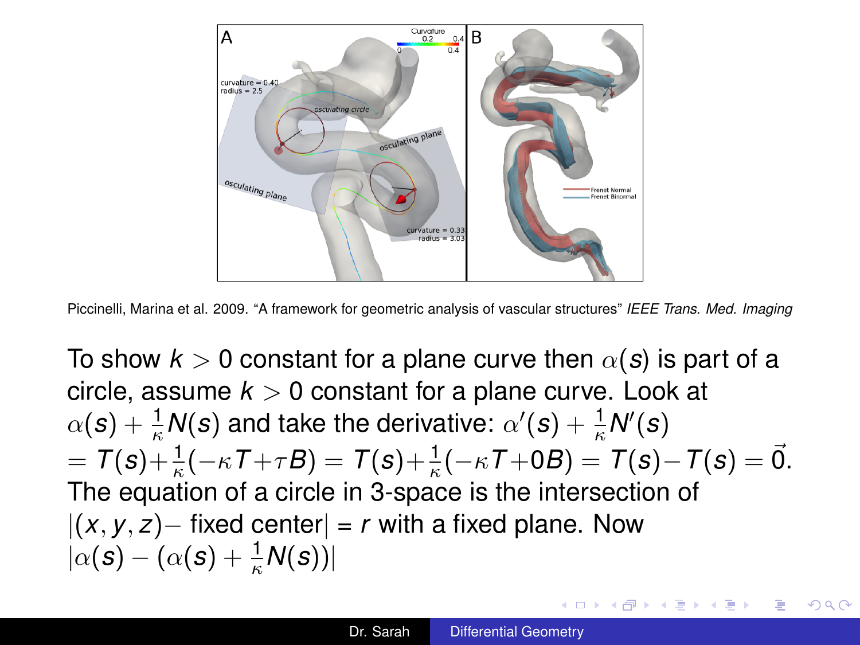<span id="page-15-0"></span>

Piccinelli, Marina et al. 2009. "A framework for geometric analysis of vascular structures" *IEEE Trans. Med. Imaging*

To show  $k > 0$  constant for a plane curve then  $\alpha(s)$  is part of a circle, assume  $k > 0$  constant for a plane curve. Look at  $\alpha(\textbf{s}) + \frac{1}{\kappa}\textsf{N}(\textbf{s})$  and take the derivative:  $\alpha'(\textbf{s}) + \frac{1}{\kappa}\textsf{N}'(\textbf{s})$  $\overline{\sigma} = \mathcal{T}(s) + \frac{1}{\kappa}(-\kappa\mathcal{T} + \tau B) = \mathcal{T}(s) + \frac{1}{\kappa}(-\kappa\mathcal{T} + 0B) = \mathcal{T}(s) - \mathcal{T}(s) = \vec{0}.$ The equation of a circle in 3-space is the intersection of  $|(x, y, z) -$  fixed center $| = r$  with a fixed plane. Now  $|\alpha(\bm{s}) - (\alpha(\bm{s}) + \frac{1}{\kappa}\bm{\mathit{N}}(\bm{s}))|$ 

イロン イ押ン イヨン イヨン 一重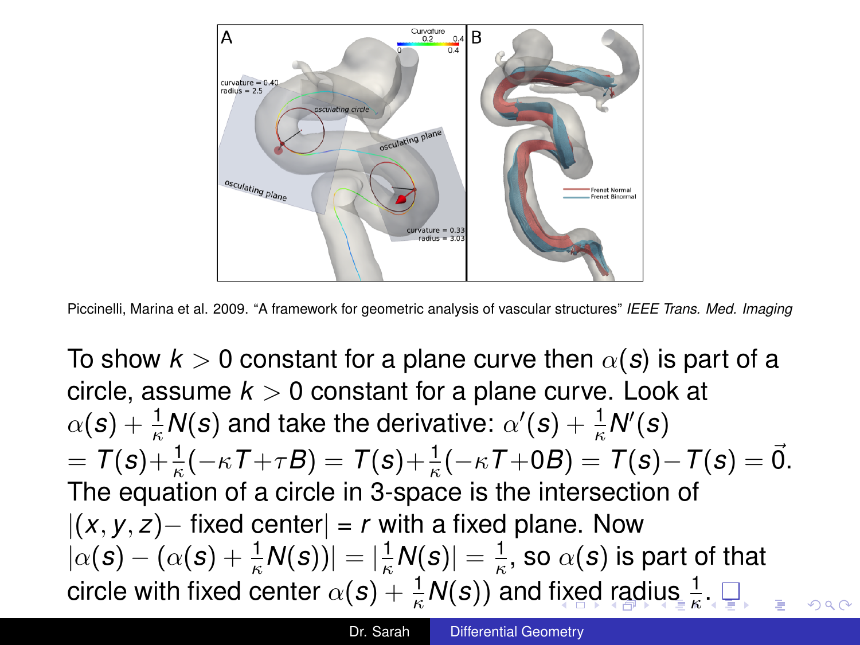<span id="page-16-0"></span>

Piccinelli, Marina et al. 2009. "A framework for geometric analysis of vascular structures" *IEEE Trans. Med. Imaging*

To show  $k > 0$  constant for a plane curve then  $\alpha(s)$  is part of a circle, assume  $k > 0$  constant for a plane curve. Look at  $\alpha(\textbf{s}) + \frac{1}{\kappa}\textsf{N}(\textbf{s})$  and take the derivative:  $\alpha'(\textbf{s}) + \frac{1}{\kappa}\textsf{N}'(\textbf{s})$  $\overline{\sigma} = \mathcal{T}(s) + \frac{1}{\kappa}(-\kappa\mathcal{T} + \tau B) = \mathcal{T}(s) + \frac{1}{\kappa}(-\kappa\mathcal{T} + 0B) = \mathcal{T}(s) - \mathcal{T}(s) = \vec{0}.$ The equation of a circle in 3-space is the intersection of  $|(x, y, z) -$  fixed center $| = r$  with a fixed plane. Now  $|\alpha(\bm{s}) - (\alpha(\bm{s}) + \frac{1}{\kappa}\mathsf{N}(\bm{s}))| = |\frac{1}{\kappa}\mathsf{N}(\bm{s})| = \frac{1}{\kappa},$  so  $\alpha(\bm{s})$  is part of that circle with [fix](#page-15-0)[ed](#page-17-0) center  $\alpha(\bm{s}) + \frac{1}{\kappa} \mathsf{N}(\bm{s})$  $\alpha(\bm{s}) + \frac{1}{\kappa} \mathsf{N}(\bm{s})$  $\alpha(\bm{s}) + \frac{1}{\kappa} \mathsf{N}(\bm{s})$ ) and fixed [r](#page-10-0)a[d](#page-16-0)[i](#page-17-0)[us](#page-0-0)  $\frac{1}{\kappa}$ [.](#page-0-0)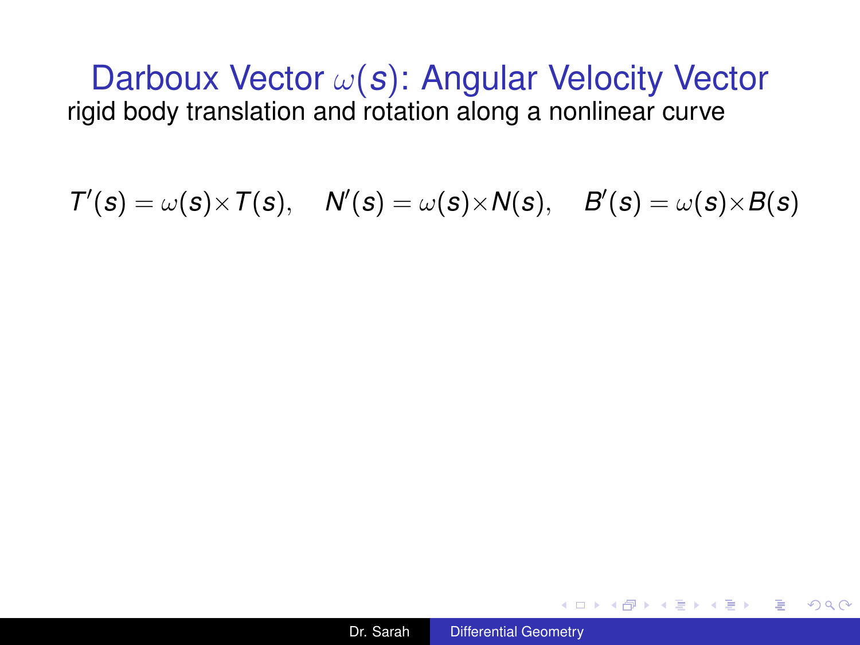<span id="page-17-0"></span> $T'(s) = \omega(s) \times T(s), \quad N'(s) = \omega(s) \times N(s), \quad B'(s) = \omega(s) \times B(s)$ 



メ御 トメミ トメミ トー

4 0 8

 $\equiv$   $\Omega$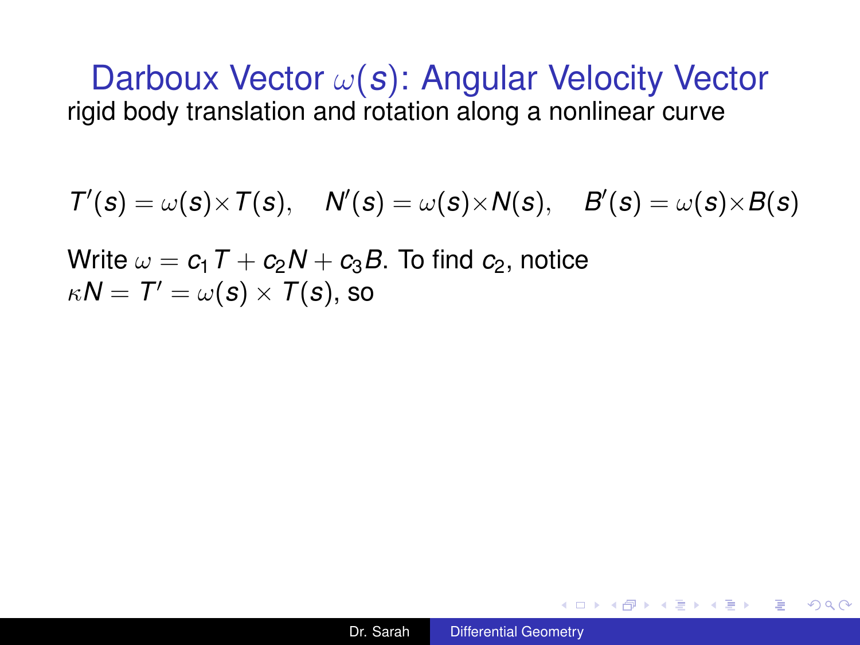$T'(s) = \omega(s) \times T(s), \quad N'(s) = \omega(s) \times N(s), \quad B'(s) = \omega(s) \times B(s)$ 

Write  $\omega = c_1 T + c_2 N + c_3 B$ . To find  $c_2$ , notice  $\kappa \textit{N} = \textit{T}' = \omega(\textit{s}) \times \textit{T}(\textit{s}) \text{, so}$ 

KED KAPD KED KED E YORG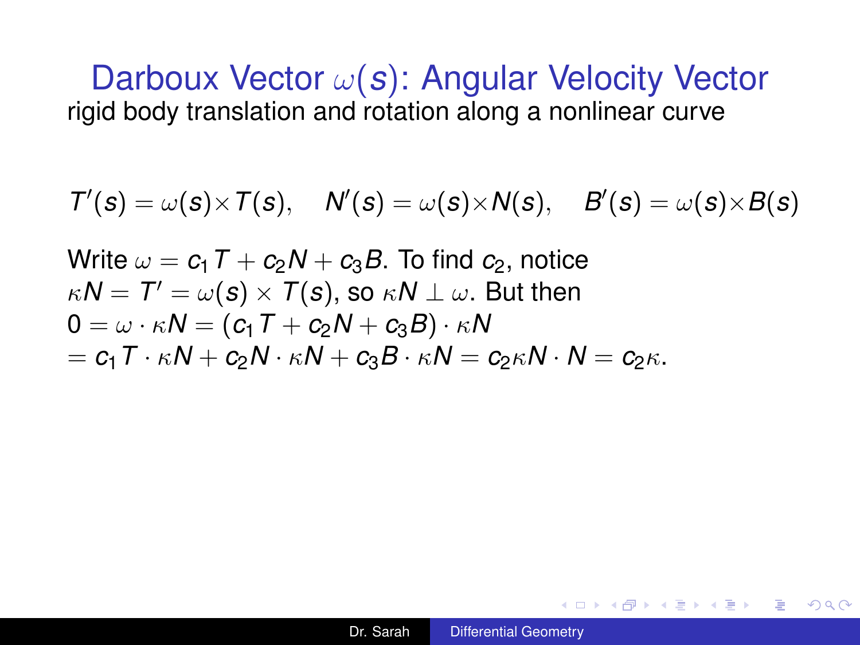$$
\mathcal{T}'(s) = \omega(s) \times \mathcal{T}(s), \quad \mathcal{N}'(s) = \omega(s) \times \mathcal{N}(s), \quad \mathcal{B}'(s) = \omega(s) \times \mathcal{B}(s)
$$

Write  $\omega = c_1 T + c_2 N + c_3 B$ . To find  $c_2$ , notice  $\kappa\textit{N}=\textit{T}^{\prime}=\omega(\textit{s})\times\textit{T}(\textit{s})\text{, so }\kappa\textit{N}\perp\omega\text{.}$  But then  $0 = \omega \cdot \kappa N = (c_1 T + c_2 N + c_3 B) \cdot \kappa N$  $= c_1 T \cdot \kappa N + c_2 N \cdot \kappa N + c_3 B \cdot \kappa N = c_2 \kappa N \cdot N = c_2 \kappa.$ 

K 何 ▶ K ヨ ▶ K ヨ ▶ ...

÷.  $\Omega$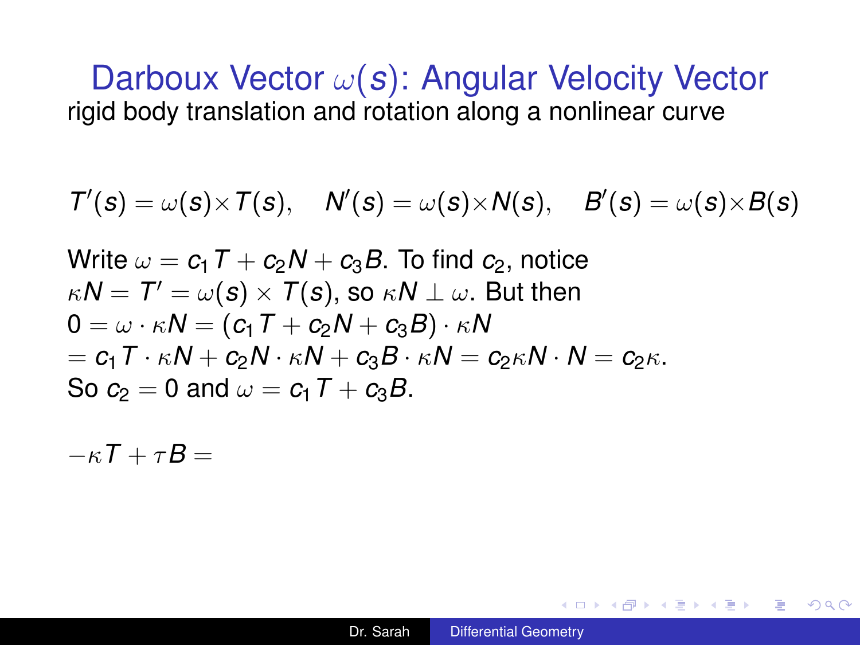$$
\mathcal{T}'(s) = \omega(s) \times \mathcal{T}(s), \quad \mathcal{N}'(s) = \omega(s) \times \mathcal{N}(s), \quad \mathcal{B}'(s) = \omega(s) \times \mathcal{B}(s)
$$

Write  $\omega = c_1 T + c_2 N + c_3 B$ . To find  $c_2$ , notice  $\kappa\textit{N}=\textit{T}^{\prime}=\omega(\textit{s})\times\textit{T}(\textit{s})\text{, so }\kappa\textit{N}\perp\omega\text{.}$  But then  $0 = \omega \cdot \kappa N = (c_1 T + c_2 N + c_3 B) \cdot \kappa N$  $= c_1 T \cdot \kappa N + c_2 N \cdot \kappa N + c_3 B \cdot \kappa N = c_2 \kappa N \cdot N = c_2 \kappa.$ So  $c_2 = 0$  and  $\omega = c_1 T + c_3 B$ .

 $-\kappa T + \tau R =$ 

**K ロ ▶ K 何 ▶ K ヨ ▶ K ヨ ▶** 

÷.  $\Omega$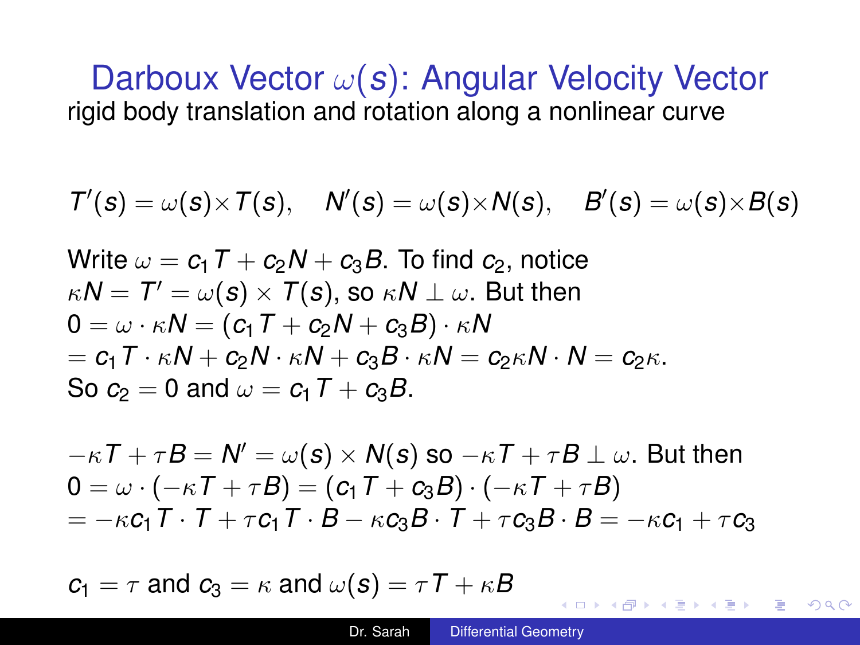$$
\mathcal{T}'(s) = \omega(s) \times \mathcal{T}(s), \quad \mathcal{N}'(s) = \omega(s) \times \mathcal{N}(s), \quad \mathcal{B}'(s) = \omega(s) \times \mathcal{B}(s)
$$

Write 
$$
\omega = c_1 T + c_2 N + c_3 B
$$
. To find  $c_2$ , notice  
\n $\kappa N = T' = \omega(s) \times T(s)$ , so  $\kappa N \perp \omega$ . But then  
\n $0 = \omega \cdot \kappa N = (c_1 T + c_2 N + c_3 B) \cdot \kappa N$   
\n $= c_1 T \cdot \kappa N + c_2 N \cdot \kappa N + c_3 B \cdot \kappa N = c_2 \kappa N \cdot N = c_2 \kappa$ .  
\nSo  $c_2 = 0$  and  $\omega = c_1 T + c_3 B$ .

$$
-\kappa T + \tau B = N' = \omega(s) \times N(s) \text{ so } -\kappa T + \tau B \perp \omega. \text{ But then}
$$
  
\n
$$
0 = \omega \cdot (-\kappa T + \tau B) = (c_1 T + c_3 B) \cdot (-\kappa T + \tau B)
$$
  
\n
$$
= -\kappa c_1 T \cdot T + \tau c_1 T \cdot B - \kappa c_3 B \cdot T + \tau c_3 B \cdot B = -\kappa c_1 + \tau c_3
$$

 $c_1 = \tau$  and  $c_3 = \kappa$  and  $\omega(s) = \tau T + \kappa B$ 

4 ロ ) (何 ) (日 ) (日 )

÷.